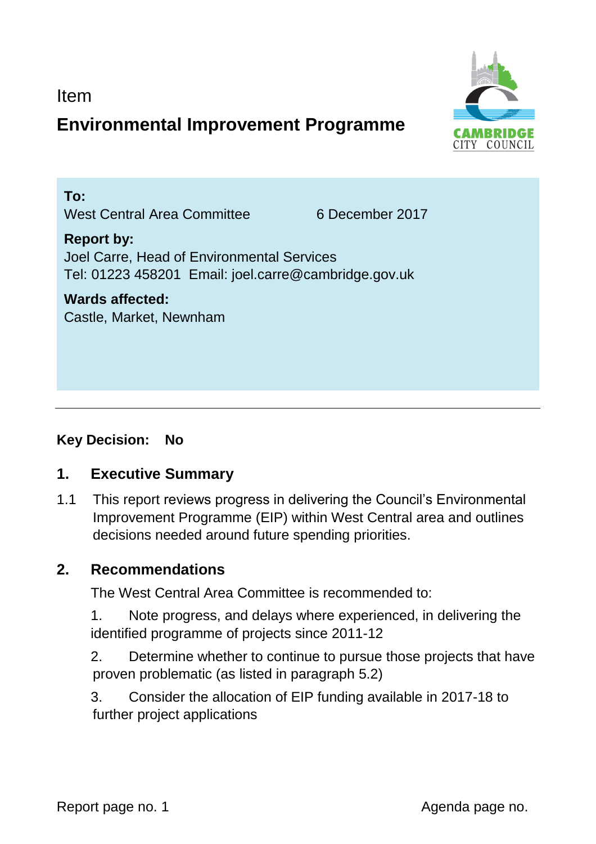Item

# **Environmental Improvement Programme**



**To:**  West Central Area Committee 6 December 2017

#### **Report by:**  Joel Carre, Head of Environmental Services Tel: 01223 458201 Email: joel.carre@cambridge.gov.uk

**Wards affected:**  Castle, Market, Newnham

## **Key Decision: No**

## **1. Executive Summary**

1.1 This report reviews progress in delivering the Council's Environmental Improvement Programme (EIP) within West Central area and outlines decisions needed around future spending priorities.

#### **2. Recommendations**

The West Central Area Committee is recommended to:

1. Note progress, and delays where experienced, in delivering the identified programme of projects since 2011-12

2. Determine whether to continue to pursue those projects that have proven problematic (as listed in paragraph 5.2)

3. Consider the allocation of EIP funding available in 2017-18 to further project applications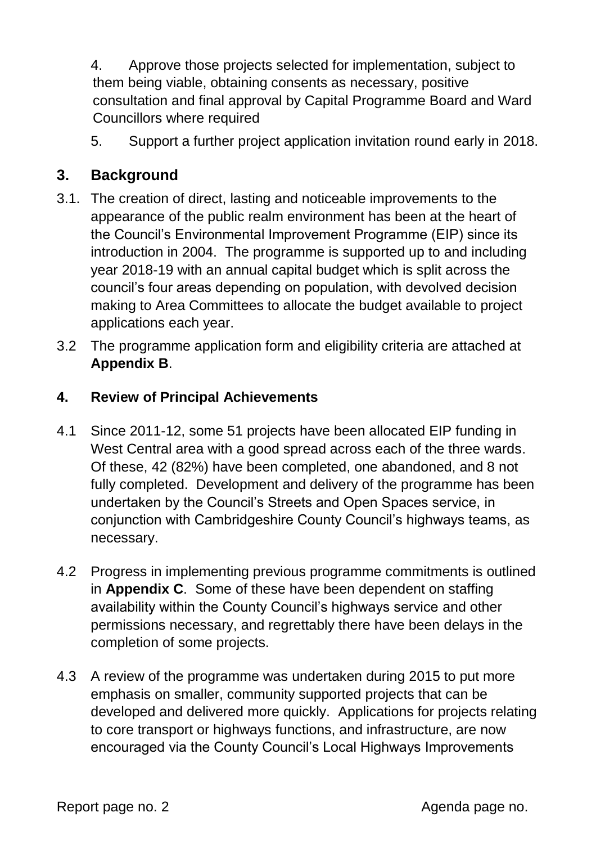4. Approve those projects selected for implementation, subject to them being viable, obtaining consents as necessary, positive consultation and final approval by Capital Programme Board and Ward Councillors where required

5. Support a further project application invitation round early in 2018.

## **3. Background**

- 3.1. The creation of direct, lasting and noticeable improvements to the appearance of the public realm environment has been at the heart of the Council's Environmental Improvement Programme (EIP) since its introduction in 2004. The programme is supported up to and including year 2018-19 with an annual capital budget which is split across the council's four areas depending on population, with devolved decision making to Area Committees to allocate the budget available to project applications each year.
- 3.2 The programme application form and eligibility criteria are attached at **Appendix B**.

#### **4. Review of Principal Achievements**

- 4.1 Since 2011-12, some 51 projects have been allocated EIP funding in West Central area with a good spread across each of the three wards. Of these, 42 (82%) have been completed, one abandoned, and 8 not fully completed. Development and delivery of the programme has been undertaken by the Council's Streets and Open Spaces service, in conjunction with Cambridgeshire County Council's highways teams, as necessary.
- 4.2 Progress in implementing previous programme commitments is outlined in **Appendix C**. Some of these have been dependent on staffing availability within the County Council's highways service and other permissions necessary, and regrettably there have been delays in the completion of some projects.
- 4.3 A review of the programme was undertaken during 2015 to put more emphasis on smaller, community supported projects that can be developed and delivered more quickly. Applications for projects relating to core transport or highways functions, and infrastructure, are now encouraged via the County Council's Local Highways Improvements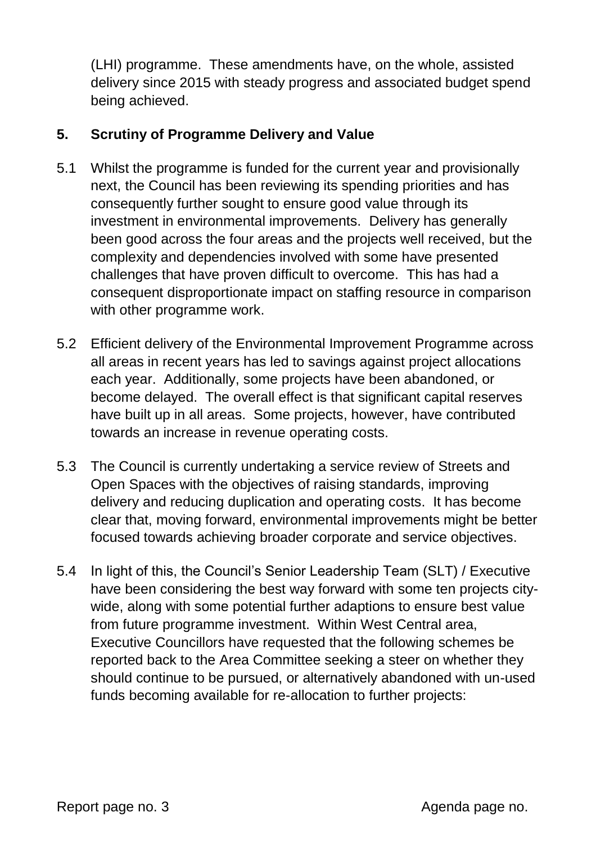(LHI) programme. These amendments have, on the whole, assisted delivery since 2015 with steady progress and associated budget spend being achieved.

#### **5. Scrutiny of Programme Delivery and Value**

- 5.1 Whilst the programme is funded for the current year and provisionally next, the Council has been reviewing its spending priorities and has consequently further sought to ensure good value through its investment in environmental improvements. Delivery has generally been good across the four areas and the projects well received, but the complexity and dependencies involved with some have presented challenges that have proven difficult to overcome. This has had a consequent disproportionate impact on staffing resource in comparison with other programme work.
- 5.2 Efficient delivery of the Environmental Improvement Programme across all areas in recent years has led to savings against project allocations each year. Additionally, some projects have been abandoned, or become delayed. The overall effect is that significant capital reserves have built up in all areas. Some projects, however, have contributed towards an increase in revenue operating costs.
- 5.3 The Council is currently undertaking a service review of Streets and Open Spaces with the objectives of raising standards, improving delivery and reducing duplication and operating costs. It has become clear that, moving forward, environmental improvements might be better focused towards achieving broader corporate and service objectives.
- 5.4 In light of this, the Council's Senior Leadership Team (SLT) / Executive have been considering the best way forward with some ten projects citywide, along with some potential further adaptions to ensure best value from future programme investment. Within West Central area, Executive Councillors have requested that the following schemes be reported back to the Area Committee seeking a steer on whether they should continue to be pursued, or alternatively abandoned with un-used funds becoming available for re-allocation to further projects: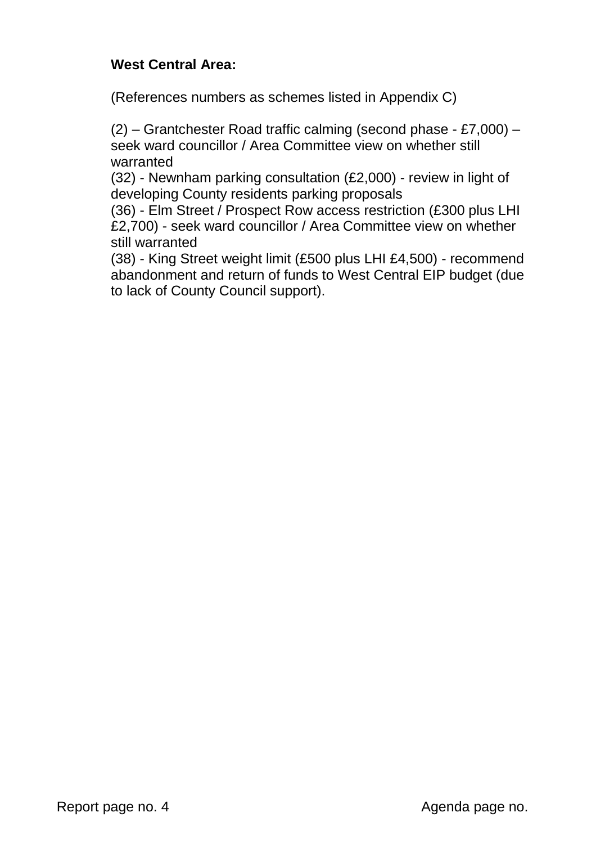#### **West Central Area:**

(References numbers as schemes listed in Appendix C)

(2) – Grantchester Road traffic calming (second phase - £7,000) – seek ward councillor / Area Committee view on whether still warranted

(32) - Newnham parking consultation (£2,000) - review in light of developing County residents parking proposals

(36) - Elm Street / Prospect Row access restriction (£300 plus LHI £2,700) - seek ward councillor / Area Committee view on whether still warranted

(38) - King Street weight limit (£500 plus LHI £4,500) - recommend abandonment and return of funds to West Central EIP budget (due to lack of County Council support).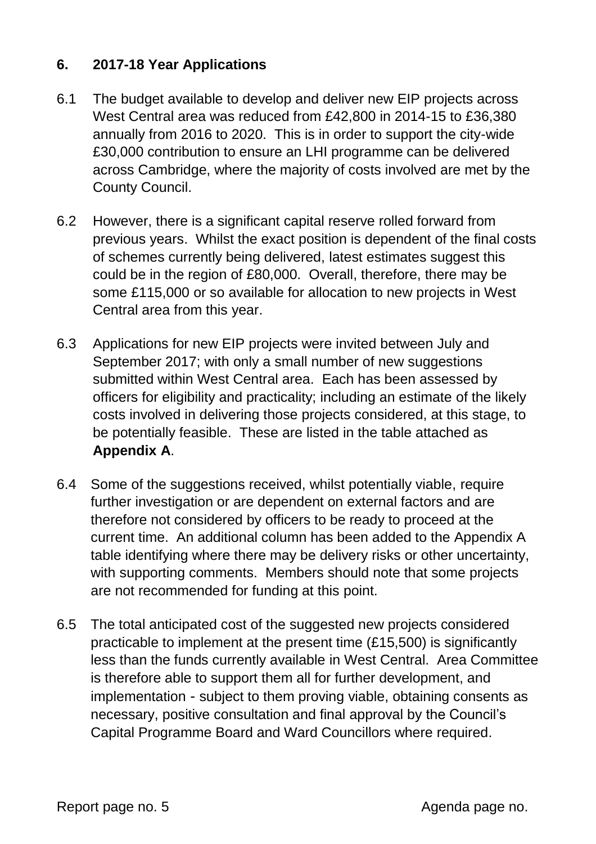#### **6. 2017-18 Year Applications**

- 6.1 The budget available to develop and deliver new EIP projects across West Central area was reduced from £42,800 in 2014-15 to £36,380 annually from 2016 to 2020. This is in order to support the city-wide £30,000 contribution to ensure an LHI programme can be delivered across Cambridge, where the majority of costs involved are met by the County Council.
- 6.2 However, there is a significant capital reserve rolled forward from previous years. Whilst the exact position is dependent of the final costs of schemes currently being delivered, latest estimates suggest this could be in the region of £80,000. Overall, therefore, there may be some £115,000 or so available for allocation to new projects in West Central area from this year.
- 6.3 Applications for new EIP projects were invited between July and September 2017; with only a small number of new suggestions submitted within West Central area. Each has been assessed by officers for eligibility and practicality; including an estimate of the likely costs involved in delivering those projects considered, at this stage, to be potentially feasible. These are listed in the table attached as **Appendix A**.
- 6.4 Some of the suggestions received, whilst potentially viable, require further investigation or are dependent on external factors and are therefore not considered by officers to be ready to proceed at the current time. An additional column has been added to the Appendix A table identifying where there may be delivery risks or other uncertainty, with supporting comments. Members should note that some projects are not recommended for funding at this point.
- 6.5 The total anticipated cost of the suggested new projects considered practicable to implement at the present time (£15,500) is significantly less than the funds currently available in West Central. Area Committee is therefore able to support them all for further development, and implementation - subject to them proving viable, obtaining consents as necessary, positive consultation and final approval by the Council's Capital Programme Board and Ward Councillors where required.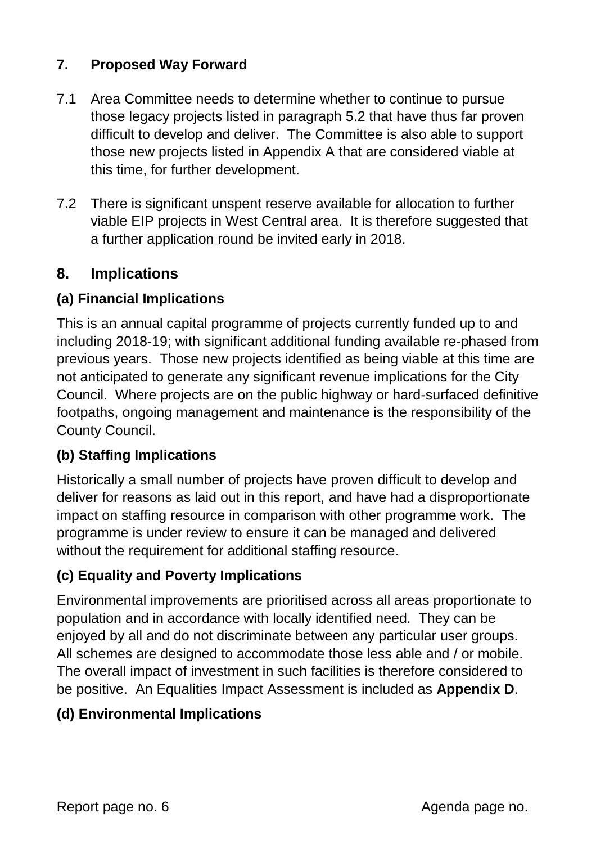## **7. Proposed Way Forward**

- 7.1 Area Committee needs to determine whether to continue to pursue those legacy projects listed in paragraph 5.2 that have thus far proven difficult to develop and deliver. The Committee is also able to support those new projects listed in Appendix A that are considered viable at this time, for further development.
- 7.2 There is significant unspent reserve available for allocation to further viable EIP projects in West Central area. It is therefore suggested that a further application round be invited early in 2018.

## **8. Implications**

#### **(a) Financial Implications**

This is an annual capital programme of projects currently funded up to and including 2018-19; with significant additional funding available re-phased from previous years. Those new projects identified as being viable at this time are not anticipated to generate any significant revenue implications for the City Council. Where projects are on the public highway or hard-surfaced definitive footpaths, ongoing management and maintenance is the responsibility of the County Council.

#### **(b) Staffing Implications**

Historically a small number of projects have proven difficult to develop and deliver for reasons as laid out in this report, and have had a disproportionate impact on staffing resource in comparison with other programme work. The programme is under review to ensure it can be managed and delivered without the requirement for additional staffing resource.

#### **(c) Equality and Poverty Implications**

Environmental improvements are prioritised across all areas proportionate to population and in accordance with locally identified need. They can be enjoyed by all and do not discriminate between any particular user groups. All schemes are designed to accommodate those less able and / or mobile. The overall impact of investment in such facilities is therefore considered to be positive. An Equalities Impact Assessment is included as **Appendix D**.

#### **(d) Environmental Implications**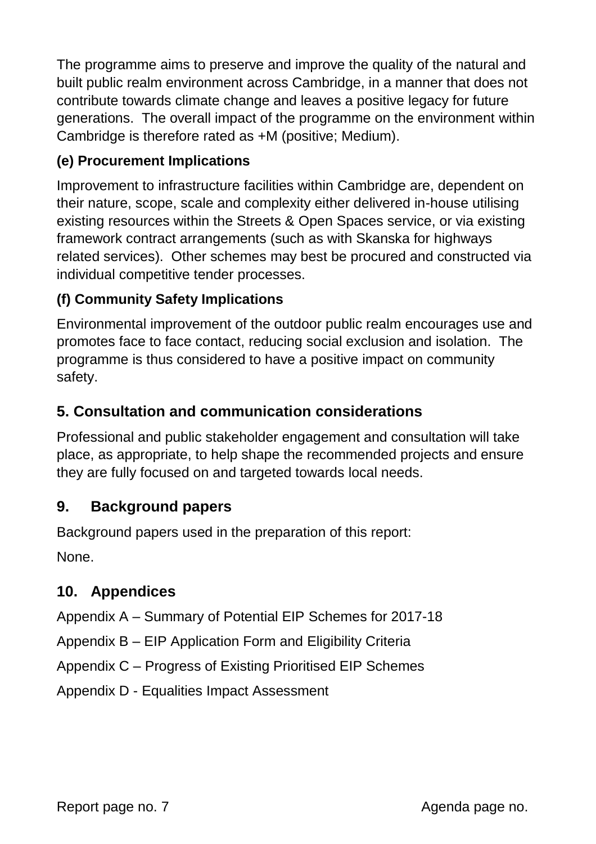The programme aims to preserve and improve the quality of the natural and built public realm environment across Cambridge, in a manner that does not contribute towards climate change and leaves a positive legacy for future generations. The overall impact of the programme on the environment within Cambridge is therefore rated as +M (positive; Medium).

## **(e) Procurement Implications**

Improvement to infrastructure facilities within Cambridge are, dependent on their nature, scope, scale and complexity either delivered in-house utilising existing resources within the Streets & Open Spaces service, or via existing framework contract arrangements (such as with Skanska for highways related services). Other schemes may best be procured and constructed via individual competitive tender processes.

## **(f) Community Safety Implications**

Environmental improvement of the outdoor public realm encourages use and promotes face to face contact, reducing social exclusion and isolation. The programme is thus considered to have a positive impact on community safety.

## **5. Consultation and communication considerations**

Professional and public stakeholder engagement and consultation will take place, as appropriate, to help shape the recommended projects and ensure they are fully focused on and targeted towards local needs.

## **9. Background papers**

Background papers used in the preparation of this report: None.

#### **10. Appendices**

Appendix A – Summary of Potential EIP Schemes for 2017-18

Appendix B – EIP Application Form and Eligibility Criteria

Appendix C – Progress of Existing Prioritised EIP Schemes

Appendix D - Equalities Impact Assessment